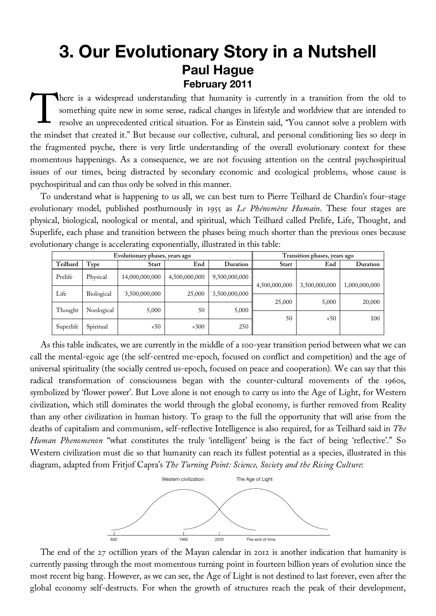## **3. Our Evolutionary Story in a Nutshell Paul Hague February 2011**

here is a widespread understanding that humanity is currently in a transition from the old to something quite new in some sense, radical changes in lifestyle and worldview that are intended to resolve an unprecedented critical situation. For as Einstein said, "You cannot solve a problem with the mindset that created it." But because our collective, cultural, and personal conditioning lies so deep in the fragmented psyche, there is very little understanding of the overall evolutionary context for these momentous happenings. As a consequence, we are not focusing attention on the central psychospiritual issues of our times, being distracted by secondary economic and ecological problems, whose cause is psychospiritual and can thus only be solved in this manner. T

To understand what is happening to us all, we can best turn to Pierre Teilhard de Chardin's four-stage evolutionary model, published posthumously in 1955 as *Le Phénomène Humain*. These four stages are physical, biological, noological or mental, and spiritual, which Teilhard called Prelife, Life, Thought, and Superlife, each phase and transition between the phases being much shorter than the previous ones because evolutionary change is accelerating exponentially, illustrated in this table:

| Evolutionary phases, years ago |            |                |               |               | Transition phases, years ago |               |               |
|--------------------------------|------------|----------------|---------------|---------------|------------------------------|---------------|---------------|
| Teilhard                       | Type       | <b>Start</b>   | End           | Duration      | <b>Start</b>                 | End           | Duration      |
| Prelife                        | Physical   | 14,000,000,000 | 4,500,000,000 | 9,500,000,000 | 4,500,000,000                | 3,500,000,000 |               |
| Life                           | Biological | 3,500,000,000  | 25,000        | 3,500,000,000 |                              |               | 1,000,000,000 |
|                                |            |                |               |               | 25,000                       | 5,000         | 20,000        |
| Thought                        | Noological | 5,000          | 50            | 5,000         |                              |               |               |
|                                |            |                |               |               | 50                           | $+50$         | 100           |
| Superlife                      | Spiritual  | $+50$          | $+300$        | 250           |                              |               |               |

As this table indicates, we are currently in the middle of a 100-year transition period between what we can call the mental-egoic age (the self-centred me-epoch, focused on conflict and competition) and the age of universal spirituality (the socially centred us-epoch, focused on peace and cooperation). We can say that this radical transformation of consciousness began with the counter-cultural movements of the 1960s, symbolized by 'flower power'. But Love alone is not enough to carry us into the Age of Light, for Western civilization, which still dominates the world through the global economy, is further removed from Reality than any other civilization in human history. To grasp to the full the opportunity that will arise from the deaths of capitalism and communism, self-reflective Intelligence is also required, for as Teilhard said in *The Human Phenomenon* "what constitutes the truly 'intelligent' being is the fact of being 'reflective'." So Western civilization must die so that humanity can reach its fullest potential as a species, illustrated in this diagram, adapted from Fritjof Capra's *The Turning Point: Science, Society and the Rising Culture*:



The end of the 27 octillion years of the Mayan calendar in 2012 is another indication that humanity is currently passing through the most momentous turning point in fourteen billion years of evolution since the most recent big bang. However, as we can see, the Age of Light is not destined to last forever, even after the global economy self-destructs. For when the growth of structures reach the peak of their development,